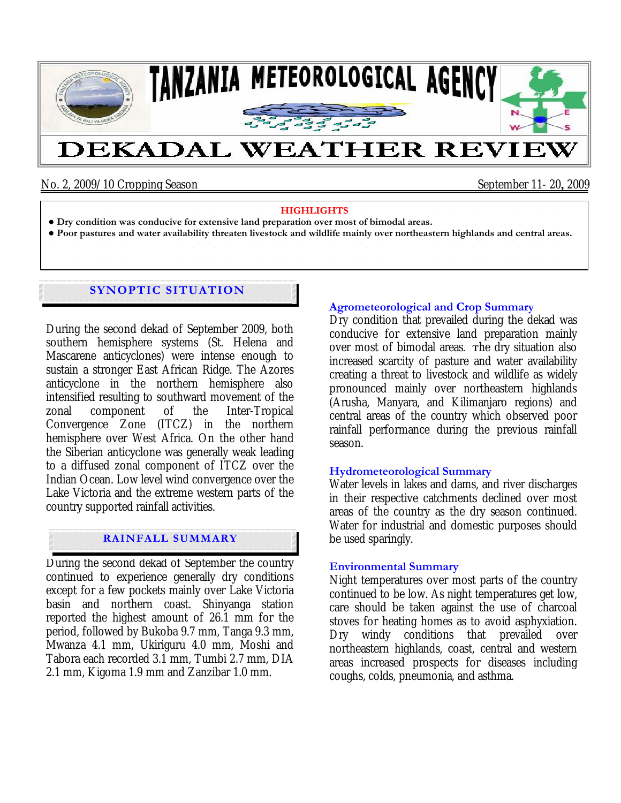

## No. 2, 2009/10 Cropping Season September 11- 20, 2009

| and the second contract of the second contract of the contract of the second contract of the second contract of                                                                                                                |
|--------------------------------------------------------------------------------------------------------------------------------------------------------------------------------------------------------------------------------|
| • Dry condition was conducive for extensive land preparation over most of bimodal areas.                                                                                                                                       |
| • Poor pastures and water availability threaten livestock and wildlife mainly over northeastern highlands and central areas.                                                                                                   |
| . The contract of the contract of the contract of the contract of the contract of the contract of the contract of the contract of the contract of the contract of the contract of the contract of the contract of the contract |
|                                                                                                                                                                                                                                |

# **SYNOPTIC SITUATION**

During the second dekad of September 2009, both southern hemisphere systems (St. Helena and Mascarene anticyclones) were intense enough to sustain a stronger East African Ridge. The Azores anticyclone in the northern hemisphere also intensified resulting to southward movement of the zonal component of the Inter-Tropical Convergence Zone (ITCZ) in the northern hemisphere over West Africa. On the other hand the Siberian anticyclone was generally weak leading to a diffused zonal component of ITCZ over the Indian Ocean. Low level wind convergence over the Lake Victoria and the extreme western parts of the country supported rainfall activities.

## **RAINFALL SUMMARY**

During the second dekad of September the country continued to experience generally dry conditions except for a few pockets mainly over Lake Victoria basin and northern coast. Shinyanga station reported the highest amount of 26.1 mm for the period, followed by Bukoba 9.7 mm, Tanga 9.3 mm, Mwanza 4.1 mm, Ukiriguru 4.0 mm, Moshi and Tabora each recorded 3.1 mm, Tumbi 2.7 mm, DIA 2.1 mm, Kigoma 1.9 mm and Zanzibar 1.0 mm.

## **Agrometeorological and Crop Summary**

Dry condition that prevailed during the dekad was conducive for extensive land preparation mainly over most of bimodal areas**. T**he dry situation also increased scarcity of pasture and water availability creating a threat to livestock and wildlife as widely pronounced mainly over northeastern highlands (Arusha, Manyara, and Kilimanjaro regions) and central areas of the country which observed poor rainfall performance during the previous rainfall season.

## **Hydrometeorological Summary**

Water levels in lakes and dams, and river discharges in their respective catchments declined over most areas of the country as the dry season continued. Water for industrial and domestic purposes should be used sparingly.

## **Environmental Summary**

Night temperatures over most parts of the country continued to be low. As night temperatures get low, care should be taken against the use of charcoal stoves for heating homes as to avoid asphyxiation. Dry windy conditions that prevailed over northeastern highlands, coast, central and western areas increased prospects for diseases including coughs, colds, pneumonia, and asthma.